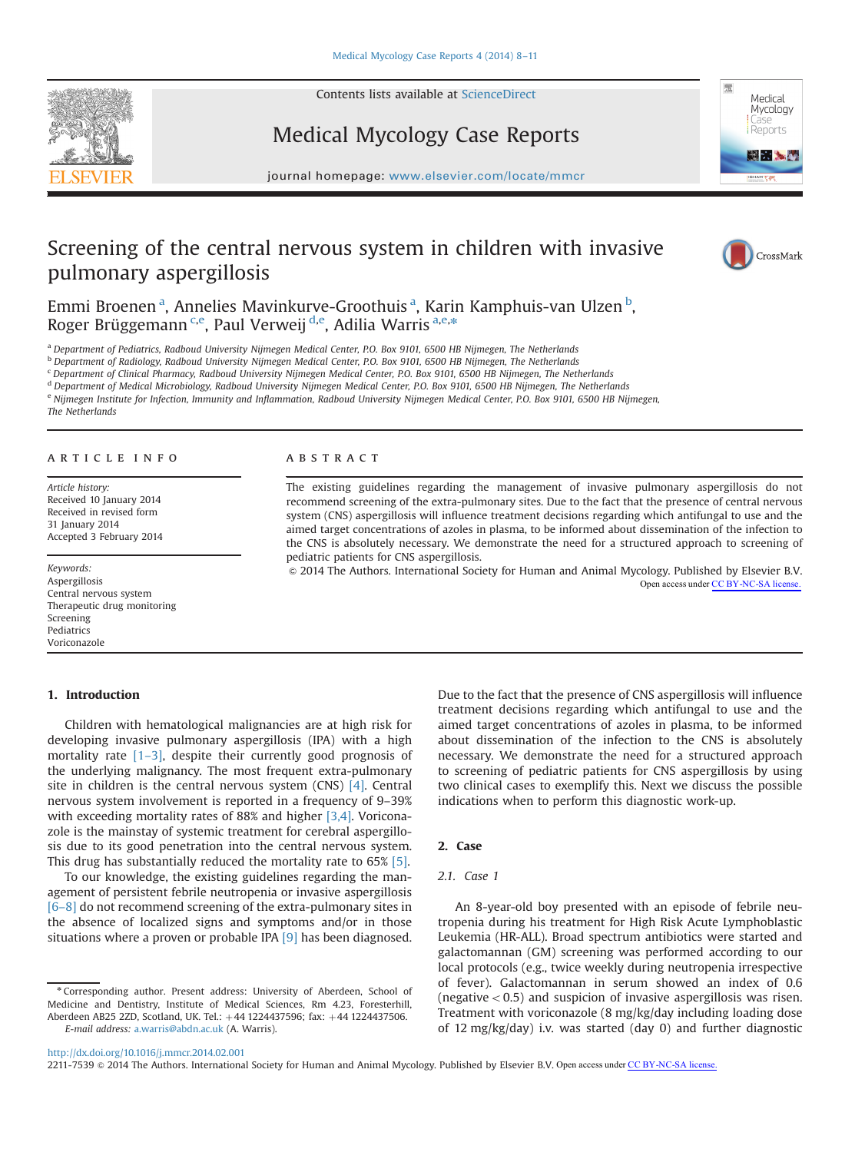Contents lists available at [ScienceDirect](www.sciencedirect.com/science/journal/22117539)





# Medical Mycology Case Reports

journal homepage: <www.elsevier.com/locate/mmcr>

# Screening of the central nervous system in children with invasive pulmonary aspergillosis



Emmi Broenen<sup>a</sup>, Annelies Mavinkurve-Groothuis<sup>a</sup>, Karin Kamphuis-van Ulzen<sup>b</sup>, Roger Brüggemann <sup>c,e</sup>, Paul Verweij <sup>d,e</sup>, Adilia Warris <sup>a,e,</sup>\*

<sup>a</sup> Department of Pediatrics, Radboud University Nijmegen Medical Center, P.O. Box 9101, 6500 HB Nijmegen, The Netherlands

<sup>b</sup> Department of Radiology, Radboud University Nijmegen Medical Center, P.O. Box 9101, 6500 HB Nijmegen, The Netherlands

<sup>c</sup> Department of Clinical Pharmacy, Radboud University Nijmegen Medical Center, P.O. Box 9101, 6500 HB Nijmegen, The Netherlands

<sup>d</sup> Department of Medical Microbiology, Radboud University Nijmegen Medical Center, P.O. Box 9101, 6500 HB Nijmegen, The Netherlands

e Nijmegen Institute for Infection, Immunity and Inflammation, Radboud University Nijmegen Medical Center, P.O. Box 9101, 6500 HB Nijmegen,

The Netherlands

## article info

Article history: Received 10 January 2014 Received in revised form 31 January 2014 Accepted 3 February 2014

Keywords: Aspergillosis Central nervous system Therapeutic drug monitoring Screening Pediatrics Voriconazole

# 1. Introduction

#### **ABSTRACT**

The existing guidelines regarding the management of invasive pulmonary aspergillosis do not recommend screening of the extra-pulmonary sites. Due to the fact that the presence of central nervous system (CNS) aspergillosis will influence treatment decisions regarding which antifungal to use and the aimed target concentrations of azoles in plasma, to be informed about dissemination of the infection to the CNS is absolutely necessary. We demonstrate the need for a structured approach to screening of pediatric patients for CNS aspergillosis.

& 2014 The Authors. International Society for Human and Animal Mycology. Published by Elsevier B.V. Open access under [CC BY-NC-SA license.](http://creativecommons.org/licenses/by-nc-sa/3.0/)

Children with hematological malignancies are at high risk for developing invasive pulmonary aspergillosis (IPA) with a high mortality rate [1–[3\],](#page-2-0) despite their currently good prognosis of the underlying malignancy. The most frequent extra-pulmonary site in children is the central nervous system  $(CNS)$  [\[4\].](#page-2-0) Central nervous system involvement is reported in a frequency of 9–39% with exceeding mortality rates of 88% and higher [\[3,4\]](#page-2-0). Voriconazole is the mainstay of systemic treatment for cerebral aspergillosis due to its good penetration into the central nervous system. This drug has substantially reduced the mortality rate to 65% [\[5\].](#page-2-0)

To our knowledge, the existing guidelines regarding the management of persistent febrile neutropenia or invasive aspergillosis [6–[8\]](#page-2-0) do not recommend screening of the extra-pulmonary sites in the absence of localized signs and symptoms and/or in those situations where a proven or probable IPA [\[9\]](#page-2-0) has been diagnosed.

<sup>n</sup> Corresponding author. Present address: University of Aberdeen, School of Medicine and Dentistry, Institute of Medical Sciences, Rm 4.23, Foresterhill, Aberdeen AB25 2ZD, Scotland, UK. Tel.: +44 1224437596; fax: +44 1224437506. E-mail address: [a.warris@abdn.ac.uk](mailto:a.warris@abdn.ac.uk) (A. Warris).

Due to the fact that the presence of CNS aspergillosis will influence treatment decisions regarding which antifungal to use and the aimed target concentrations of azoles in plasma, to be informed about dissemination of the infection to the CNS is absolutely necessary. We demonstrate the need for a structured approach to screening of pediatric patients for CNS aspergillosis by using two clinical cases to exemplify this. Next we discuss the possible indications when to perform this diagnostic work-up.

# 2. Case

# 2.1. Case 1

An 8-year-old boy presented with an episode of febrile neutropenia during his treatment for High Risk Acute Lymphoblastic Leukemia (HR-ALL). Broad spectrum antibiotics were started and galactomannan (GM) screening was performed according to our local protocols (e.g., twice weekly during neutropenia irrespective of fever). Galactomannan in serum showed an index of 0.6 (negative  $<$  0.5) and suspicion of invasive aspergillosis was risen. Treatment with voriconazole (8 mg/kg/day including loading dose of 12 mg/kg/day) i.v. was started (day 0) and further diagnostic

<sup>2211-7539 © 2014</sup> The Authors. International Society for Human and Animal Mycology. Published by Elsevier B.V. Open access under [CC BY-NC-SA license.](http://creativecommons.org/licenses/by-nc-sa/3.0/)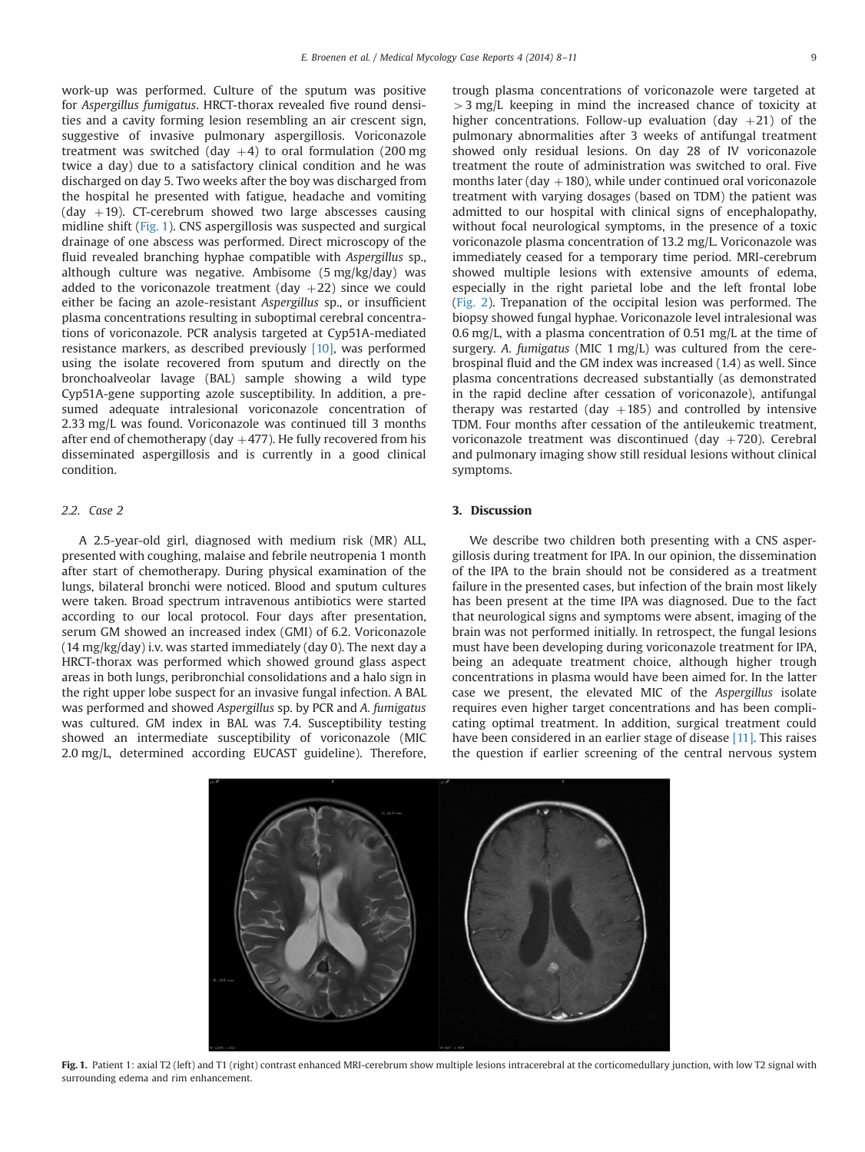work-up was performed. Culture of the sputum was positive for Aspergillus fumigatus. HRCT-thorax revealed five round densities and a cavity forming lesion resembling an air crescent sign, suggestive of invasive pulmonary aspergillosis. Voriconazole treatment was switched (day  $+4$ ) to oral formulation (200 mg twice a day) due to a satisfactory clinical condition and he was discharged on day 5. Two weeks after the boy was discharged from the hospital he presented with fatigue, headache and vomiting (day  $+19$ ). CT-cerebrum showed two large abscesses causing midline shift (Fig. 1). CNS aspergillosis was suspected and surgical drainage of one abscess was performed. Direct microscopy of the fluid revealed branching hyphae compatible with Aspergillus sp., although culture was negative. Ambisome (5 mg/kg/day) was added to the voriconazole treatment (day  $+22$ ) since we could either be facing an azole-resistant Aspergillus sp., or insufficient plasma concentrations resulting in suboptimal cerebral concentrations of voriconazole. PCR analysis targeted at Cyp51A-mediated resistance markers, as described previously [\[10\],](#page-2-0) was performed using the isolate recovered from sputum and directly on the bronchoalveolar lavage (BAL) sample showing a wild type Cyp51A-gene supporting azole susceptibility. In addition, a presumed adequate intralesional voriconazole concentration of 2.33 mg/L was found. Voriconazole was continued till 3 months after end of chemotherapy (day  $+477$ ). He fully recovered from his disseminated aspergillosis and is currently in a good clinical condition.

# 2.2. Case 2

A 2.5-year-old girl, diagnosed with medium risk (MR) ALL, presented with coughing, malaise and febrile neutropenia 1 month after start of chemotherapy. During physical examination of the lungs, bilateral bronchi were noticed. Blood and sputum cultures were taken. Broad spectrum intravenous antibiotics were started according to our local protocol. Four days after presentation, serum GM showed an increased index (GMI) of 6.2. Voriconazole (14 mg/kg/day) i.v. was started immediately (day 0). The next day a HRCT-thorax was performed which showed ground glass aspect areas in both lungs, peribronchial consolidations and a halo sign in the right upper lobe suspect for an invasive fungal infection. A BAL was performed and showed Aspergillus sp. by PCR and A. fumigatus was cultured. GM index in BAL was 7.4. Susceptibility testing showed an intermediate susceptibility of voriconazole (MIC 2.0 mg/L, determined according EUCAST guideline). Therefore,

trough plasma concentrations of voriconazole were targeted at  $>$  3 mg/L keeping in mind the increased chance of toxicity at higher concentrations. Follow-up evaluation (day  $+21$ ) of the pulmonary abnormalities after 3 weeks of antifungal treatment showed only residual lesions. On day 28 of IV voriconazole treatment the route of administration was switched to oral. Five months later (day  $+180$ ), while under continued oral voriconazole treatment with varying dosages (based on TDM) the patient was admitted to our hospital with clinical signs of encephalopathy, without focal neurological symptoms, in the presence of a toxic voriconazole plasma concentration of 13.2 mg/L. Voriconazole was immediately ceased for a temporary time period. MRI-cerebrum showed multiple lesions with extensive amounts of edema, especially in the right parietal lobe and the left frontal lobe ([Fig. 2](#page-2-0)). Trepanation of the occipital lesion was performed. The biopsy showed fungal hyphae. Voriconazole level intralesional was 0.6 mg/L, with a plasma concentration of 0.51 mg/L at the time of surgery. A. fumigatus (MIC 1 mg/L) was cultured from the cerebrospinal fluid and the GM index was increased (1.4) as well. Since plasma concentrations decreased substantially (as demonstrated in the rapid decline after cessation of voriconazole), antifungal therapy was restarted (day  $+185$ ) and controlled by intensive TDM. Four months after cessation of the antileukemic treatment, voriconazole treatment was discontinued (day  $+720$ ). Cerebral and pulmonary imaging show still residual lesions without clinical symptoms.

# 3. Discussion

We describe two children both presenting with a CNS aspergillosis during treatment for IPA. In our opinion, the dissemination of the IPA to the brain should not be considered as a treatment failure in the presented cases, but infection of the brain most likely has been present at the time IPA was diagnosed. Due to the fact that neurological signs and symptoms were absent, imaging of the brain was not performed initially. In retrospect, the fungal lesions must have been developing during voriconazole treatment for IPA, being an adequate treatment choice, although higher trough concentrations in plasma would have been aimed for. In the latter case we present, the elevated MIC of the Aspergillus isolate requires even higher target concentrations and has been complicating optimal treatment. In addition, surgical treatment could have been considered in an earlier stage of disease [\[11\]](#page-3-0). This raises the question if earlier screening of the central nervous system



Fig. 1. Patient 1: axial T2 (left) and T1 (right) contrast enhanced MRI-cerebrum show multiple lesions intracerebral at the corticomedullary junction, with low T2 signal with surrounding edema and rim enhancement.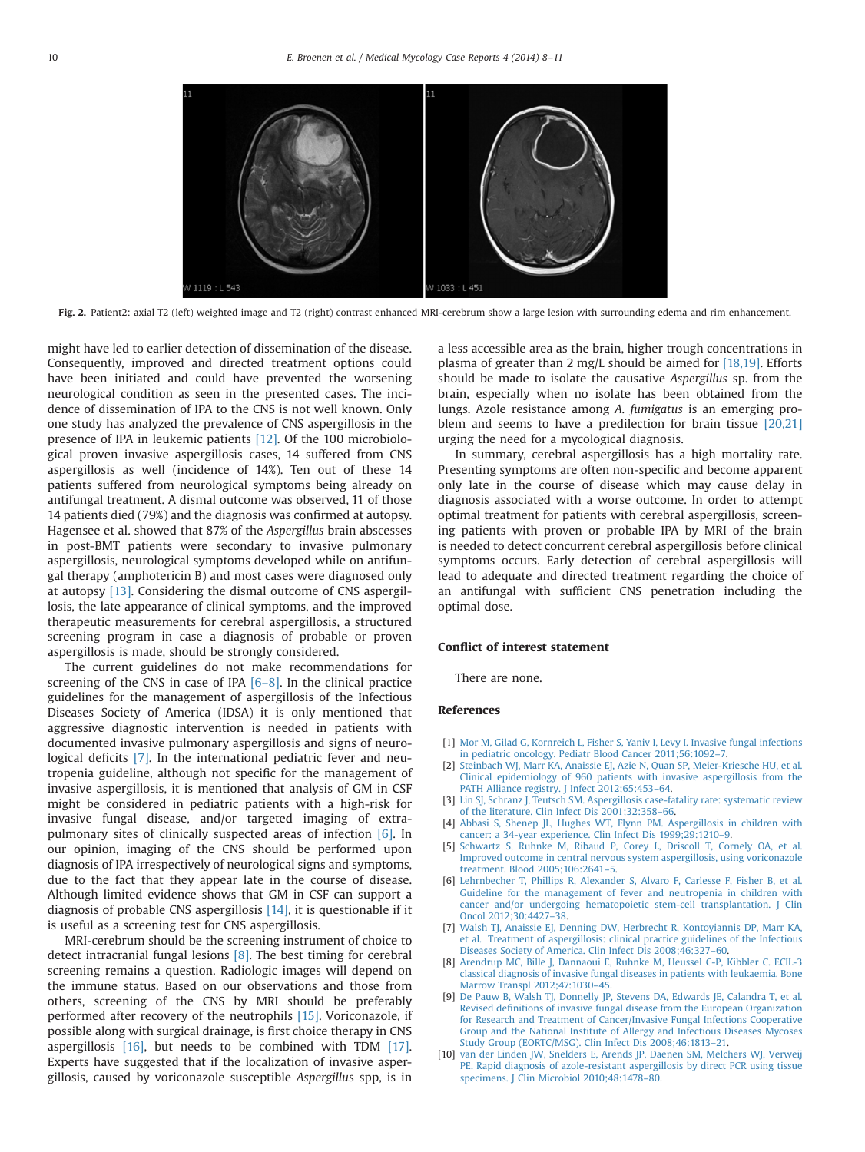<span id="page-2-0"></span>

Fig. 2. Patient2: axial T2 (left) weighted image and T2 (right) contrast enhanced MRI-cerebrum show a large lesion with surrounding edema and rim enhancement.

might have led to earlier detection of dissemination of the disease. Consequently, improved and directed treatment options could have been initiated and could have prevented the worsening neurological condition as seen in the presented cases. The incidence of dissemination of IPA to the CNS is not well known. Only one study has analyzed the prevalence of CNS aspergillosis in the presence of IPA in leukemic patients [\[12\].](#page-3-0) Of the 100 microbiological proven invasive aspergillosis cases, 14 suffered from CNS aspergillosis as well (incidence of 14%). Ten out of these 14 patients suffered from neurological symptoms being already on antifungal treatment. A dismal outcome was observed, 11 of those 14 patients died (79%) and the diagnosis was confirmed at autopsy. Hagensee et al. showed that 87% of the Aspergillus brain abscesses in post-BMT patients were secondary to invasive pulmonary aspergillosis, neurological symptoms developed while on antifungal therapy (amphotericin B) and most cases were diagnosed only at autopsy [\[13\]](#page-3-0). Considering the dismal outcome of CNS aspergillosis, the late appearance of clinical symptoms, and the improved therapeutic measurements for cerebral aspergillosis, a structured screening program in case a diagnosis of probable or proven aspergillosis is made, should be strongly considered.

The current guidelines do not make recommendations for screening of the CNS in case of IPA  $[6-8]$ . In the clinical practice guidelines for the management of aspergillosis of the Infectious Diseases Society of America (IDSA) it is only mentioned that aggressive diagnostic intervention is needed in patients with documented invasive pulmonary aspergillosis and signs of neurological deficits [7]. In the international pediatric fever and neutropenia guideline, although not specific for the management of invasive aspergillosis, it is mentioned that analysis of GM in CSF might be considered in pediatric patients with a high-risk for invasive fungal disease, and/or targeted imaging of extrapulmonary sites of clinically suspected areas of infection [6]. In our opinion, imaging of the CNS should be performed upon diagnosis of IPA irrespectively of neurological signs and symptoms, due to the fact that they appear late in the course of disease. Although limited evidence shows that GM in CSF can support a diagnosis of probable CNS aspergillosis [\[14\]](#page-3-0), it is questionable if it is useful as a screening test for CNS aspergillosis.

MRI-cerebrum should be the screening instrument of choice to detect intracranial fungal lesions [8]. The best timing for cerebral screening remains a question. Radiologic images will depend on the immune status. Based on our observations and those from others, screening of the CNS by MRI should be preferably performed after recovery of the neutrophils [\[15\].](#page-3-0) Voriconazole, if possible along with surgical drainage, is first choice therapy in CNS aspergillosis [\[16\]](#page-3-0), but needs to be combined with TDM [\[17\].](#page-3-0) Experts have suggested that if the localization of invasive aspergillosis, caused by voriconazole susceptible Aspergillus spp, is in a less accessible area as the brain, higher trough concentrations in plasma of greater than 2 mg/L should be aimed for  $[18,19]$ . Efforts should be made to isolate the causative Aspergillus sp. from the brain, especially when no isolate has been obtained from the lungs. Azole resistance among A. fumigatus is an emerging problem and seems to have a predilection for brain tissue [\[20,21\]](#page-3-0) urging the need for a mycological diagnosis.

In summary, cerebral aspergillosis has a high mortality rate. Presenting symptoms are often non-specific and become apparent only late in the course of disease which may cause delay in diagnosis associated with a worse outcome. In order to attempt optimal treatment for patients with cerebral aspergillosis, screening patients with proven or probable IPA by MRI of the brain is needed to detect concurrent cerebral aspergillosis before clinical symptoms occurs. Early detection of cerebral aspergillosis will lead to adequate and directed treatment regarding the choice of an antifungal with sufficient CNS penetration including the optimal dose.

#### Conflict of interest statement

There are none.

# References

- [1] [Mor M, Gilad G, Kornreich L, Fisher S, Yaniv I, Levy I. Invasive fungal infections](http://refhub.elsevier.com/S2211-7539(14)00005-0/sbref1) [in pediatric oncology. Pediatr Blood Cancer 2011;56:1092](http://refhub.elsevier.com/S2211-7539(14)00005-0/sbref1)–7.
- [2] [Steinbach WJ, Marr KA, Anaissie EJ, Azie N, Quan SP, Meier-Kriesche HU, et al.](http://refhub.elsevier.com/S2211-7539(14)00005-0/sbref2) [Clinical epidemiology of 960 patients with invasive aspergillosis from the](http://refhub.elsevier.com/S2211-7539(14)00005-0/sbref2) [PATH Alliance registry. J Infect 2012;65:453](http://refhub.elsevier.com/S2211-7539(14)00005-0/sbref2)–64.
- [3] [Lin SJ, Schranz J, Teutsch SM. Aspergillosis case-fatality rate: systematic review](http://refhub.elsevier.com/S2211-7539(14)00005-0/sbref3) [of the literature. Clin Infect Dis 2001;32:358](http://refhub.elsevier.com/S2211-7539(14)00005-0/sbref3)–66.
- [4] [Abbasi S, Shenep JL, Hughes WT, Flynn PM. Aspergillosis in children with](http://refhub.elsevier.com/S2211-7539(14)00005-0/sbref4) [cancer: a 34-year experience. Clin Infect Dis 1999;29:1210](http://refhub.elsevier.com/S2211-7539(14)00005-0/sbref4)–9.
- [5] [Schwartz S, Ruhnke M, Ribaud P, Corey L, Driscoll T, Cornely OA, et al.](http://refhub.elsevier.com/S2211-7539(14)00005-0/sbref5) [Improved outcome in central nervous system aspergillosis, using voriconazole](http://refhub.elsevier.com/S2211-7539(14)00005-0/sbref5) [treatment. Blood 2005;106:2641](http://refhub.elsevier.com/S2211-7539(14)00005-0/sbref5)–5.
- [6] [Lehrnbecher T, Phillips R, Alexander S, Alvaro F, Carlesse F, Fisher B, et al.](http://refhub.elsevier.com/S2211-7539(14)00005-0/sbref6) [Guideline for the management of fever and neutropenia in children with](http://refhub.elsevier.com/S2211-7539(14)00005-0/sbref6) [cancer and/or undergoing hematopoietic stem-cell transplantation. J Clin](http://refhub.elsevier.com/S2211-7539(14)00005-0/sbref6) [Oncol 2012;30:4427](http://refhub.elsevier.com/S2211-7539(14)00005-0/sbref6)–38.
- [7] [Walsh TJ, Anaissie EJ, Denning DW, Herbrecht R, Kontoyiannis DP, Marr KA,](http://refhub.elsevier.com/S2211-7539(14)00005-0/sbref7) [et al. Treatment of aspergillosis: clinical practice guidelines of the Infectious](http://refhub.elsevier.com/S2211-7539(14)00005-0/sbref7) [Diseases Society of America. Clin Infect Dis 2008;46:327](http://refhub.elsevier.com/S2211-7539(14)00005-0/sbref7)–60.
- [8] [Arendrup MC, Bille J, Dannaoui E, Ruhnke M, Heussel C-P, Kibbler C. ECIL-3](http://refhub.elsevier.com/S2211-7539(14)00005-0/sbref8) [classical diagnosis of invasive fungal diseases in patients with leukaemia. Bone](http://refhub.elsevier.com/S2211-7539(14)00005-0/sbref8) [Marrow Transpl 2012;47:1030](http://refhub.elsevier.com/S2211-7539(14)00005-0/sbref8)–45.
- [De Pauw B, Walsh TJ, Donnelly JP, Stevens DA, Edwards JE, Calandra T, et al.](http://refhub.elsevier.com/S2211-7539(14)00005-0/sbref9) Revised defi[nitions of invasive fungal disease from the European Organization](http://refhub.elsevier.com/S2211-7539(14)00005-0/sbref9) [for Research and Treatment of Cancer/Invasive Fungal Infections Cooperative](http://refhub.elsevier.com/S2211-7539(14)00005-0/sbref9) [Group and the National Institute of Allergy and Infectious Diseases Mycoses](http://refhub.elsevier.com/S2211-7539(14)00005-0/sbref9) [Study Group \(EORTC/MSG\). Clin Infect Dis 2008;46:1813](http://refhub.elsevier.com/S2211-7539(14)00005-0/sbref9)–21.
- [10] [van der Linden JW, Snelders E, Arends JP, Daenen SM, Melchers WJ, Verweij](http://refhub.elsevier.com/S2211-7539(14)00005-0/sbref10) [PE. Rapid diagnosis of azole-resistant aspergillosis by direct PCR using tissue](http://refhub.elsevier.com/S2211-7539(14)00005-0/sbref10) [specimens. J Clin Microbiol 2010;48:1478](http://refhub.elsevier.com/S2211-7539(14)00005-0/sbref10)–80.